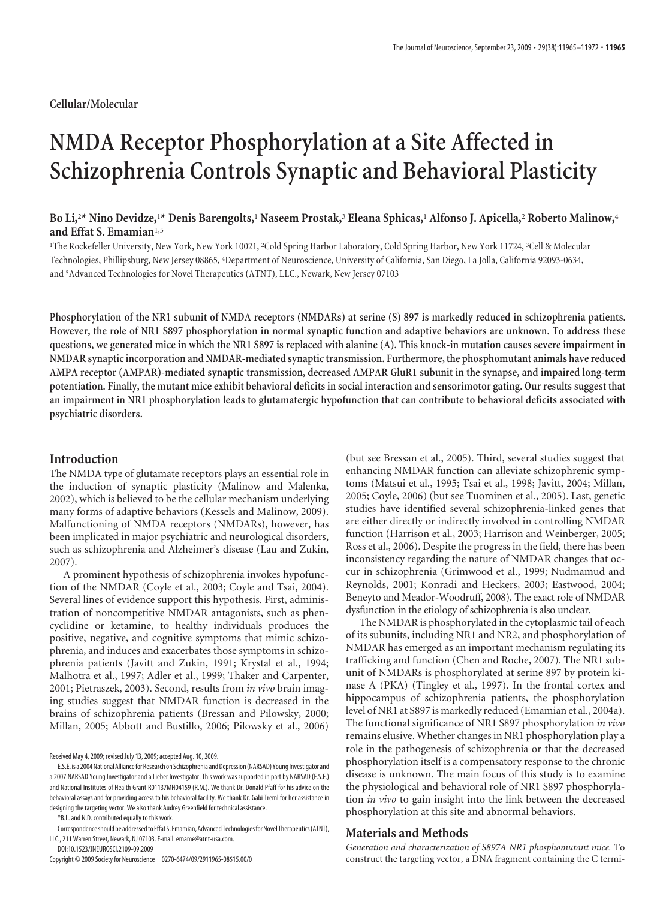# **NMDA Receptor Phosphorylation at a Site Affected in Schizophrenia Controls Synaptic and Behavioral Plasticity**

## **Bo Li,**<sup>2</sup> **\* Nino Devidze,**<sup>1</sup> **\* Denis Barengolts,**<sup>1</sup> **Naseem Prostak,**<sup>3</sup> **Eleana Sphicas,**<sup>1</sup> **Alfonso J. Apicella,**<sup>2</sup> **Roberto Malinow,**<sup>4</sup> **and Effat S. Emamian**1,5

1 The Rockefeller University, New York, New York 10021, <sup>2</sup> Cold Spring Harbor Laboratory, Cold Spring Harbor, New York 11724, <sup>3</sup> Cell & Molecular Technologies, Phillipsburg, New Jersey 08865, <sup>4</sup> Department of Neuroscience, University of California, San Diego, La Jolla, California 92093-0634, and <sup>5</sup> Advanced Technologies for Novel Therapeutics (ATNT), LLC., Newark, New Jersey 07103

**Phosphorylation of the NR1 subunit of NMDA receptors (NMDARs) at serine (S) 897 is markedly reduced in schizophrenia patients. However, the role of NR1 S897 phosphorylation in normal synaptic function and adaptive behaviors are unknown. To address these questions, we generated mice in which the NR1 S897 is replaced with alanine (A). This knock-in mutation causes severe impairment in NMDAR synaptic incorporation and NMDAR-mediated synaptic transmission. Furthermore, the phosphomutant animals have reduced AMPA receptor (AMPAR)-mediated synaptic transmission, decreased AMPAR GluR1 subunit in the synapse, and impaired long-term potentiation. Finally, the mutant mice exhibit behavioral deficits in social interaction and sensorimotor gating. Our results suggest that an impairment in NR1 phosphorylation leads to glutamatergic hypofunction that can contribute to behavioral deficits associated with psychiatric disorders.**

## **Introduction**

The NMDA type of glutamate receptors plays an essential role in the induction of synaptic plasticity (Malinow and Malenka, 2002), which is believed to be the cellular mechanism underlying many forms of adaptive behaviors (Kessels and Malinow, 2009). Malfunctioning of NMDA receptors (NMDARs), however, has been implicated in major psychiatric and neurological disorders, such as schizophrenia and Alzheimer's disease (Lau and Zukin, 2007).

A prominent hypothesis of schizophrenia invokes hypofunction of the NMDAR (Coyle et al., 2003; Coyle and Tsai, 2004). Several lines of evidence support this hypothesis. First, administration of noncompetitive NMDAR antagonists, such as phencyclidine or ketamine, to healthy individuals produces the positive, negative, and cognitive symptoms that mimic schizophrenia, and induces and exacerbates those symptoms in schizophrenia patients (Javitt and Zukin, 1991; Krystal et al., 1994; Malhotra et al., 1997; Adler et al., 1999; Thaker and Carpenter, 2001; Pietraszek, 2003). Second, results from *in vivo* brain imaging studies suggest that NMDAR function is decreased in the brains of schizophrenia patients (Bressan and Pilowsky, 2000; Millan, 2005; Abbott and Bustillo, 2006; Pilowsky et al., 2006)

Received May 4, 2009; revised July 13, 2009; accepted Aug. 10, 2009.

\*B.L. and N.D. contributed equally to this work.

Correspondence should be addressed to Effat S. Emamian, Advanced Technologies for Novel Therapeutics (ATNT), LLC., 211 Warren Street, Newark, NJ 07103. E-mail: emame@atnt-usa.com.

DOI:10.1523/JNEUROSCI.2109-09.2009

Copyright © 2009 Society for Neuroscience 0270-6474/09/2911965-08\$15.00/0

(but see Bressan et al., 2005). Third, several studies suggest that enhancing NMDAR function can alleviate schizophrenic symptoms (Matsui et al., 1995; Tsai et al., 1998; Javitt, 2004; Millan, 2005; Coyle, 2006) (but see Tuominen et al., 2005). Last, genetic studies have identified several schizophrenia-linked genes that are either directly or indirectly involved in controlling NMDAR function (Harrison et al., 2003; Harrison and Weinberger, 2005; Ross et al., 2006). Despite the progress in the field, there has been inconsistency regarding the nature of NMDAR changes that occur in schizophrenia (Grimwood et al., 1999; Nudmamud and Reynolds, 2001; Konradi and Heckers, 2003; Eastwood, 2004; Beneyto and Meador-Woodruff, 2008). The exact role of NMDAR dysfunction in the etiology of schizophrenia is also unclear.

The NMDAR is phosphorylated in the cytoplasmic tail of each of its subunits, including NR1 and NR2, and phosphorylation of NMDAR has emerged as an important mechanism regulating its trafficking and function (Chen and Roche, 2007). The NR1 subunit of NMDARs is phosphorylated at serine 897 by protein kinase A (PKA) (Tingley et al., 1997). In the frontal cortex and hippocampus of schizophrenia patients, the phosphorylation level of NR1 at S897 is markedly reduced (Emamian et al., 2004a). The functional significance of NR1 S897 phosphorylation *in vivo* remains elusive. Whether changes in NR1 phosphorylation play a role in the pathogenesis of schizophrenia or that the decreased phosphorylation itself is a compensatory response to the chronic disease is unknown. The main focus of this study is to examine the physiological and behavioral role of NR1 S897 phosphorylation *in vivo* to gain insight into the link between the decreased phosphorylation at this site and abnormal behaviors.

## **Materials and Methods**

*Generation and characterization of S897A NR1 phosphomutant mice.* To construct the targeting vector, a DNA fragment containing the C termi-

E.S.E. is a 2004 National Alliance for Research on Schizophrenia and Depression (NARSAD) Young Investigator and a 2007 NARSAD Young Investigator and a Lieber Investigator. This work was supported in part by NARSAD (E.S.E.) and National Institutes of Health Grant R01137MH04159 (R.M.). We thank Dr. Donald Pfaff for his advice on the behavioral assays and for providing access to his behavioral facility. We thank Dr. Gabi Treml for her assistance in designing the targeting vector. We also thank Audrey Greenfield for technical assistance.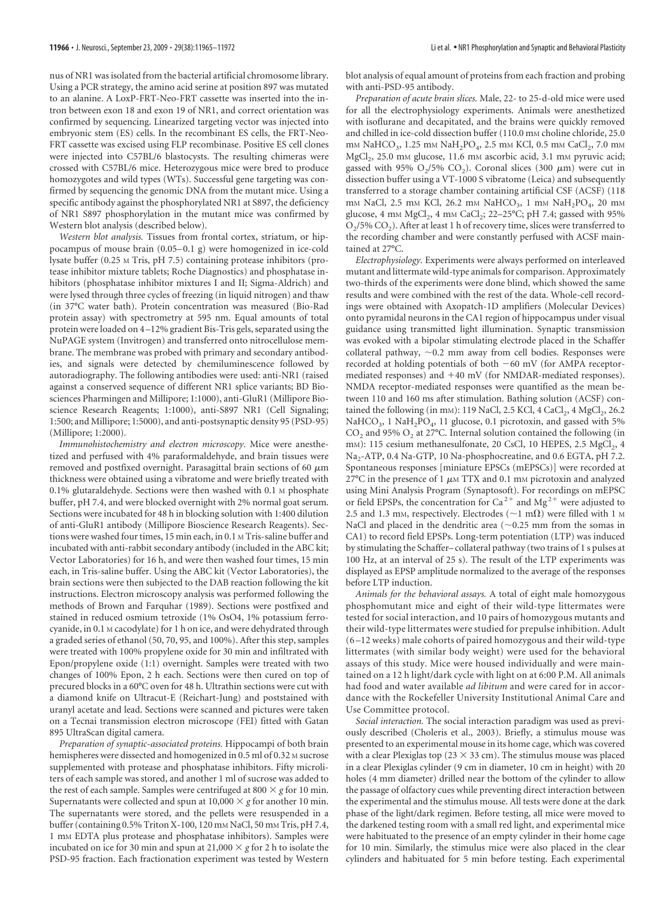nus of NR1 was isolated from the bacterial artificial chromosome library. Using a PCR strategy, the amino acid serine at position 897 was mutated to an alanine. A LoxP-FRT-Neo-FRT cassette was inserted into the intron between exon 18 and exon 19 of NR1, and correct orientation was confirmed by sequencing. Linearized targeting vector was injected into embryonic stem (ES) cells. In the recombinant ES cells, the FRT-Neo-FRT cassette was excised using FLP recombinase. Positive ES cell clones were injected into C57BL/6 blastocysts. The resulting chimeras were crossed with C57BL/6 mice. Heterozygous mice were bred to produce homozygotes and wild types (WTs). Successful gene targeting was confirmed by sequencing the genomic DNA from the mutant mice. Using a specific antibody against the phosphorylated NR1 at S897, the deficiency of NR1 S897 phosphorylation in the mutant mice was confirmed by Western blot analysis (described below).

*Western blot analysis.* Tissues from frontal cortex, striatum, or hippocampus of mouse brain (0.05– 0.1 g) were homogenized in ice-cold lysate buffer (0.25 M Tris, pH 7.5) containing protease inhibitors (protease inhibitor mixture tablets; Roche Diagnostics) and phosphatase inhibitors (phosphatase inhibitor mixtures I and II; Sigma-Aldrich) and were lysed through three cycles of freezing (in liquid nitrogen) and thaw (in 37°C water bath). Protein concentration was measured (Bio-Rad protein assay) with spectrometry at 595 nm. Equal amounts of total protein were loaded on 4 –12% gradient Bis-Tris gels, separated using the NuPAGE system (Invitrogen) and transferred onto nitrocellulose membrane. The membrane was probed with primary and secondary antibodies, and signals were detected by chemiluminescence followed by autoradiography. The following antibodies were used: anti-NR1 (raised against a conserved sequence of different NR1 splice variants; BD Biosciences Pharmingen and Millipore; 1:1000), anti-GluR1 (Millipore Bioscience Research Reagents; 1:1000), anti-S897 NR1 (Cell Signaling; 1:500; and Millipore; 1:5000), and anti-postsynaptic density 95 (PSD-95) (Millipore; 1:2000).

*Immunohistochemistry and electron microscopy.* Mice were anesthetized and perfused with 4% paraformaldehyde, and brain tissues were removed and postfixed overnight. Parasagittal brain sections of 60  $\mu$ m thickness were obtained using a vibratome and were briefly treated with 0.1% glutaraldehyde. Sections were then washed with 0.1 M phosphate buffer, pH 7.4, and were blocked overnight with 2% normal goat serum. Sections were incubated for 48 h in blocking solution with 1:400 dilution of anti-GluR1 antibody (Millipore Bioscience Research Reagents). Sections were washed four times, 15 min each, in 0.1 M Tris-saline buffer and incubated with anti-rabbit secondary antibody (included in the ABC kit; Vector Laboratories) for 16 h, and were then washed four times, 15 min each, in Tris-saline buffer. Using the ABC kit (Vector Laboratories), the brain sections were then subjected to the DAB reaction following the kit instructions. Electron microscopy analysis was performed following the methods of Brown and Farquhar (1989). Sections were postfixed and stained in reduced osmium tetroxide (1% OsO4, 1% potassium ferrocyanide, in 0.1 M cacodylate) for 1 h on ice, and were dehydrated through a graded series of ethanol (50, 70, 95, and 100%). After this step, samples were treated with 100% propylene oxide for 30 min and infiltrated with Epon/propylene oxide (1:1) overnight. Samples were treated with two changes of 100% Epon, 2 h each. Sections were then cured on top of precured blocks in a 60°C oven for 48 h. Ultrathin sections were cut with a diamond knife on Ultracut-E (Reichart-Jung) and poststained with uranyl acetate and lead. Sections were scanned and pictures were taken on a Tecnai transmission electron microscope (FEI) fitted with Gatan 895 UltraScan digital camera.

*Preparation of synaptic-associated proteins.* Hippocampi of both brain hemispheres were dissected and homogenized in 0.5 ml of 0.32 M sucrose supplemented with protease and phosphatase inhibitors. Fifty microliters of each sample was stored, and another 1 ml of sucrose was added to the rest of each sample. Samples were centrifuged at 800  $\times$  g for 10 min. Supernatants were collected and spun at  $10,000 \times g$  for another 10 min. The supernatants were stored, and the pellets were resuspended in a buffer (containing 0.5% Triton X-100, 120 mm NaCl, 50 mm Tris, pH 7.4, 1 mM EDTA plus protease and phosphatase inhibitors). Samples were incubated on ice for 30 min and spun at 21,000  $\times$  g for 2 h to isolate the PSD-95 fraction. Each fractionation experiment was tested by Western

blot analysis of equal amount of proteins from each fraction and probing with anti-PSD-95 antibody.

*Preparation of acute brain slices.* Male, 22- to 25-d-old mice were used for all the electrophysiology experiments. Animals were anesthetized with isoflurane and decapitated, and the brains were quickly removed and chilled in ice-cold dissection buffer (110.0 mm choline chloride, 25.0 mm NaHCO<sub>3</sub>, 1.25 mm NaH<sub>2</sub>PO<sub>4</sub>, 2.5 mm KCl, 0.5 mm CaCl<sub>2</sub>, 7.0 mm MgCl<sub>2</sub>, 25.0 mm glucose, 11.6 mm ascorbic acid, 3.1 mm pyruvic acid; gassed with 95%  $O_2/5\%$  CO<sub>2</sub>). Coronal slices (300  $\mu$ m) were cut in dissection buffer using a VT-1000 S vibratome (Leica) and subsequently transferred to a storage chamber containing artificial CSF (ACSF) (118 mm NaCl, 2.5 mm KCl, 26.2 mm NaHCO<sub>3</sub>, 1 mm NaH<sub>2</sub>PO<sub>4</sub>, 20 mm glucose, 4 mm MgCl<sub>2</sub>, 4 mm CaCl<sub>2</sub>; 22-25°C; pH 7.4; gassed with 95%  $O_2$ /5%  $CO_2$ ). After at least 1 h of recovery time, slices were transferred to the recording chamber and were constantly perfused with ACSF maintained at 27°C.

*Electrophysiology.* Experiments were always performed on interleaved mutant and littermate wild-type animals for comparison. Approximately two-thirds of the experiments were done blind, which showed the same results and were combined with the rest of the data. Whole-cell recordings were obtained with Axopatch-1D amplifiers (Molecular Devices) onto pyramidal neurons in the CA1 region of hippocampus under visual guidance using transmitted light illumination. Synaptic transmission was evoked with a bipolar stimulating electrode placed in the Schaffer  $collateral$  pathway,  $\sim$  0.2 mm away from cell bodies. Responses were recorded at holding potentials of both  $-60$  mV (for AMPA receptormediated responses) and +40 mV (for NMDAR-mediated responses). NMDA receptor-mediated responses were quantified as the mean between 110 and 160 ms after stimulation. Bathing solution (ACSF) contained the following (in mm): 119 NaCl, 2.5 KCl, 4 CaCl<sub>2</sub>, 4 MgCl<sub>2</sub>, 26.2 NaHCO<sub>3</sub>, 1 NaH<sub>2</sub>PO<sub>4</sub>, 11 glucose, 0.1 picrotoxin, and gassed with 5%  $CO<sub>2</sub>$  and 95%  $O<sub>2</sub>$  at 27°C. Internal solution contained the following (in mm): 115 cesium methanesulfonate, 20 CsCl, 10 HEPES, 2.5 MgCl<sub>2</sub>, 4 Na<sub>2</sub>-ATP, 0.4 Na-GTP, 10 Na-phosphocreatine, and 0.6 EGTA, pH 7.2. Spontaneous responses [miniature EPSCs (mEPSCs)] were recorded at 27°C in the presence of 1  $\mu$ M TTX and 0.1 mM picrotoxin and analyzed using Mini Analysis Program (Synaptosoft). For recordings on mEPSC or field EPSPs, the concentration for Ca<sup>2+</sup> and Mg<sup>2+</sup> were adjusted to 2.5 and 1.3 mm, respectively. Electrodes ( $\sim$ 1 m $\Omega$ ) were filled with 1 m NaCl and placed in the dendritic area  $(\sim 0.25$  mm from the somas in CA1) to record field EPSPs. Long-term potentiation (LTP) was induced by stimulating the Schaffer– collateral pathway (two trains of 1 s pulses at 100 Hz, at an interval of 25 s). The result of the LTP experiments was displayed as EPSP amplitude normalized to the average of the responses before LTP induction.

*Animals for the behavioral assays.* A total of eight male homozygous phosphomutant mice and eight of their wild-type littermates were tested for social interaction, and 10 pairs of homozygous mutants and their wild-type littermates were studied for prepulse inhibition. Adult (6 –12 weeks) male cohorts of paired homozygous and their wild-type littermates (with similar body weight) were used for the behavioral assays of this study. Mice were housed individually and were maintained on a 12 h light/dark cycle with light on at 6:00 P.M. All animals had food and water available *ad libitum* and were cared for in accordance with the Rockefeller University Institutional Animal Care and Use Committee protocol.

*Social interaction.* The social interaction paradigm was used as previously described (Choleris et al., 2003). Briefly, a stimulus mouse was presented to an experimental mouse in its home cage, which was covered with a clear Plexiglas top ( $23 \times 33$  cm). The stimulus mouse was placed in a clear Plexiglas cylinder (9 cm in diameter, 10 cm in height) with 20 holes (4 mm diameter) drilled near the bottom of the cylinder to allow the passage of olfactory cues while preventing direct interaction between the experimental and the stimulus mouse. All tests were done at the dark phase of the light/dark regimen. Before testing, all mice were moved to the darkened testing room with a small red light, and experimental mice were habituated to the presence of an empty cylinder in their home cage for 10 min. Similarly, the stimulus mice were also placed in the clear cylinders and habituated for 5 min before testing. Each experimental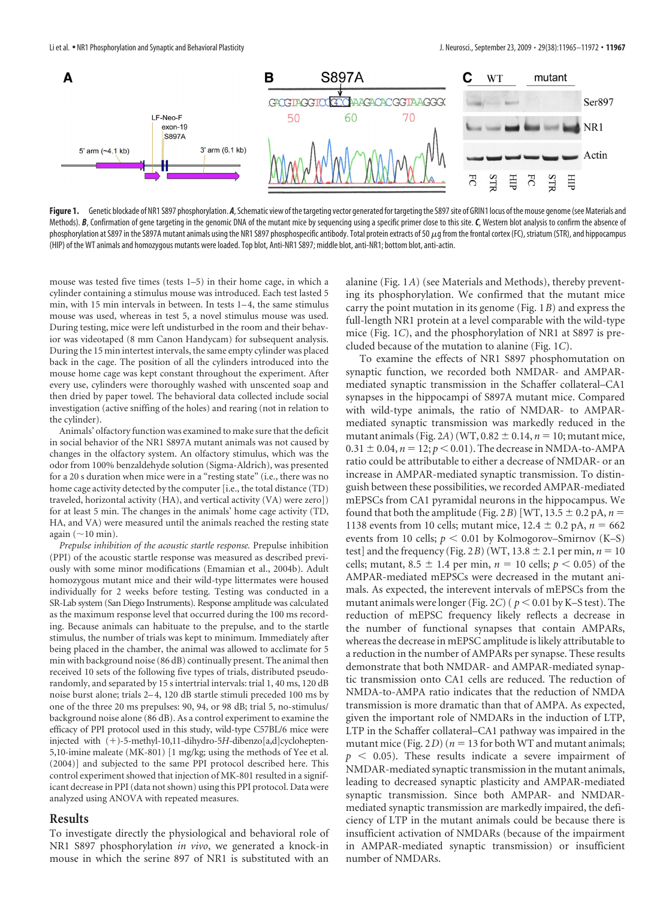

Figure 1. Genetic blockade of NR1 S897 phosphorylation. A, Schematic view of the targeting vector generated for targeting the S897 site of GRIN1 locus of the mouse genome (see Materials and Methods). B, Confirmation of gene targeting in the genomic DNA of the mutant mice by sequencing using a specific primer close to this site. C, Western blot analysis to confirm the absence of phosphorylation at S897 in the S897A mutant animals using the NR1 S897 phosphospecific antibody. Total protein extracts of 50  $\mu$ g from the frontal cortex (FC), striatum (STR), and hippocampus (HIP) of the WT animals and homozygous mutants were loaded. Top blot, Anti-NR1 S897; middle blot, anti-NR1; bottom blot, anti-actin.

mouse was tested five times (tests 1–5) in their home cage, in which a cylinder containing a stimulus mouse was introduced. Each test lasted 5 min, with 15 min intervals in between. In tests 1– 4, the same stimulus mouse was used, whereas in test 5, a novel stimulus mouse was used. During testing, mice were left undisturbed in the room and their behavior was videotaped (8 mm Canon Handycam) for subsequent analysis. During the 15 min intertest intervals, the same empty cylinder was placed back in the cage. The position of all the cylinders introduced into the mouse home cage was kept constant throughout the experiment. After every use, cylinders were thoroughly washed with unscented soap and then dried by paper towel. The behavioral data collected include social investigation (active sniffing of the holes) and rearing (not in relation to the cylinder).

Animals' olfactory function was examined to make sure that the deficit in social behavior of the NR1 S897A mutant animals was not caused by changes in the olfactory system. An olfactory stimulus, which was the odor from 100% benzaldehyde solution (Sigma-Aldrich), was presented for a 20 s duration when mice were in a "resting state" (i.e., there was no home cage activity detected by the computer [i.e., the total distance (TD) traveled, horizontal activity (HA), and vertical activity (VA) were zero]) for at least 5 min. The changes in the animals' home cage activity (TD, HA, and VA) were measured until the animals reached the resting state again ( $\sim$ 10 min).

*Prepulse inhibition of the acoustic startle response.* Prepulse inhibition (PPI) of the acoustic startle response was measured as described previously with some minor modifications (Emamian et al., 2004b). Adult homozygous mutant mice and their wild-type littermates were housed individually for 2 weeks before testing. Testing was conducted in a SR-Lab system (San Diego Instruments). Response amplitude was calculated as the maximum response level that occurred during the 100 ms recording. Because animals can habituate to the prepulse, and to the startle stimulus, the number of trials was kept to minimum. Immediately after being placed in the chamber, the animal was allowed to acclimate for 5 min with background noise (86 dB) continually present. The animal then received 10 sets of the following five types of trials, distributed pseudorandomly, and separated by 15 s intertrial intervals: trial 1, 40 ms, 120 dB noise burst alone; trials 2– 4, 120 dB startle stimuli preceded 100 ms by one of the three 20 ms prepulses: 90, 94, or 98 dB; trial 5, no-stimulus/ background noise alone (86 dB). As a control experiment to examine the efficacy of PPI protocol used in this study, wild-type C57BL/6 mice were injected with (+)-5-methyl-10,11-dihydro-5*H*-dibenzo[a,d]cyclohepten-5,10-imine maleate (MK-801) [1 mg/kg; using the methods of Yee et al. (2004)] and subjected to the same PPI protocol described here. This control experiment showed that injection of MK-801 resulted in a significant decrease in PPI (data not shown) using this PPI protocol. Data were analyzed using ANOVA with repeated measures.

## **Results**

To investigate directly the physiological and behavioral role of NR1 S897 phosphorylation *in vivo*, we generated a knock-in mouse in which the serine 897 of NR1 is substituted with an

alanine (Fig. 1*A*) (see Materials and Methods), thereby preventing its phosphorylation. We confirmed that the mutant mice carry the point mutation in its genome (Fig. 1*B*) and express the full-length NR1 protein at a level comparable with the wild-type mice (Fig. 1*C*), and the phosphorylation of NR1 at S897 is precluded because of the mutation to alanine (Fig. 1*C*).

To examine the effects of NR1 S897 phosphomutation on synaptic function, we recorded both NMDAR- and AMPARmediated synaptic transmission in the Schaffer collateral–CA1 synapses in the hippocampi of S897A mutant mice. Compared with wild-type animals, the ratio of NMDAR- to AMPARmediated synaptic transmission was markedly reduced in the mutant animals (Fig. 2A) (WT,  $0.82 \pm 0.14$ ,  $n = 10$ ; mutant mice,  $0.31 \pm 0.04$ ,  $n = 12$ ;  $p < 0.01$ ). The decrease in NMDA-to-AMPA ratio could be attributable to either a decrease of NMDAR- or an increase in AMPAR-mediated synaptic transmission. To distinguish between these possibilities, we recorded AMPAR-mediated mEPSCs from CA1 pyramidal neurons in the hippocampus. We found that both the amplitude (Fig. 2*B*) [WT, 13.5  $\pm$  0.2 pA, *n* = 1138 events from 10 cells; mutant mice,  $12.4 \pm 0.2$  pA,  $n = 662$ events from 10 cells;  $p < 0.01$  by Kolmogorov–Smirnov (K–S) test] and the frequency (Fig. 2*B*) (WT, 13.8  $\pm$  2.1 per min, *n* = 10 cells; mutant, 8.5  $\pm$  1.4 per min,  $n = 10$  cells;  $p < 0.05$ ) of the AMPAR-mediated mEPSCs were decreased in the mutant animals. As expected, the interevent intervals of mEPSCs from the mutant animals were longer (Fig. 2*C*) ( $p < 0.01$  by K–S test). The reduction of mEPSC frequency likely reflects a decrease in the number of functional synapses that contain AMPARs, whereas the decrease in mEPSC amplitude is likely attributable to a reduction in the number of AMPARs per synapse. These results demonstrate that both NMDAR- and AMPAR-mediated synaptic transmission onto CA1 cells are reduced. The reduction of NMDA-to-AMPA ratio indicates that the reduction of NMDA transmission is more dramatic than that of AMPA. As expected, given the important role of NMDARs in the induction of LTP, LTP in the Schaffer collateral–CA1 pathway was impaired in the mutant mice (Fig.  $2D$ ) ( $n = 13$  for both WT and mutant animals;  $p \leq 0.05$ ). These results indicate a severe impairment of NMDAR-mediated synaptic transmission in the mutant animals, leading to decreased synaptic plasticity and AMPAR-mediated synaptic transmission. Since both AMPAR- and NMDARmediated synaptic transmission are markedly impaired, the deficiency of LTP in the mutant animals could be because there is insufficient activation of NMDARs (because of the impairment in AMPAR-mediated synaptic transmission) or insufficient number of NMDARs.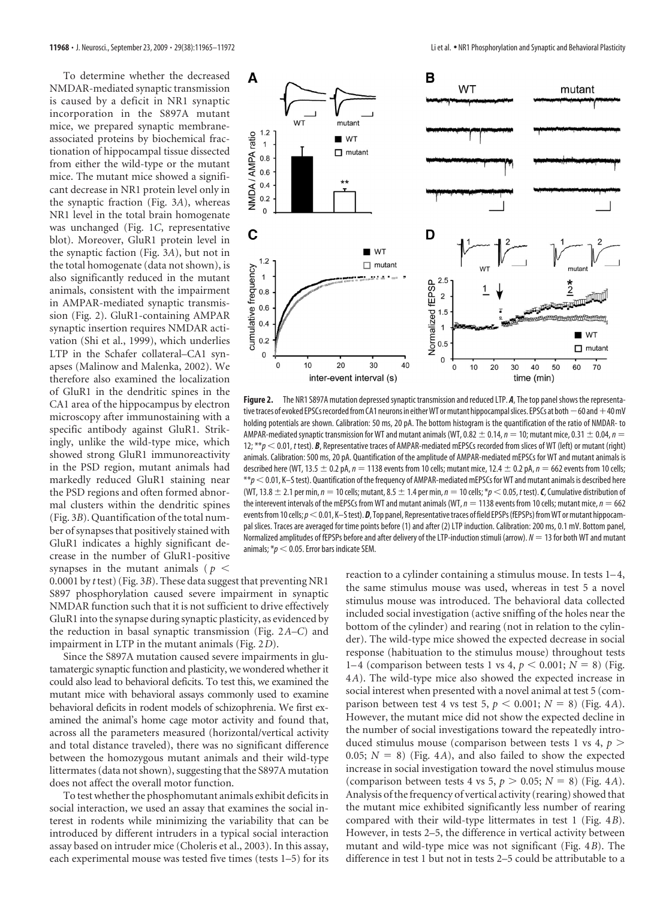To determine whether the decreased NMDAR-mediated synaptic transmission is caused by a deficit in NR1 synaptic incorporation in the S897A mutant mice, we prepared synaptic membraneassociated proteins by biochemical fractionation of hippocampal tissue dissected from either the wild-type or the mutant mice. The mutant mice showed a significant decrease in NR1 protein level only in the synaptic fraction (Fig. 3*A*), whereas NR1 level in the total brain homogenate was unchanged (Fig. 1*C*, representative blot). Moreover, GluR1 protein level in the synaptic faction (Fig. 3*A*), but not in the total homogenate (data not shown), is also significantly reduced in the mutant animals, consistent with the impairment in AMPAR-mediated synaptic transmission (Fig. 2). GluR1-containing AMPAR synaptic insertion requires NMDAR activation (Shi et al., 1999), which underlies LTP in the Schafer collateral–CA1 synapses (Malinow and Malenka, 2002). We therefore also examined the localization of GluR1 in the dendritic spines in the CA1 area of the hippocampus by electron microscopy after immunostaining with a specific antibody against GluR1. Strikingly, unlike the wild-type mice, which showed strong GluR1 immunoreactivity in the PSD region, mutant animals had markedly reduced GluR1 staining near the PSD regions and often formed abnormal clusters within the dendritic spines (Fig. 3*B*). Quantification of the total number of synapses that positively stained with GluR1 indicates a highly significant decrease in the number of GluR1-positive synapses in the mutant animals ( $p <$ 



**Figure 2.** The NR1 S897A mutation depressed synaptic transmission and reduced LTP. *A*, The top panel shows the representative traces of evoked EPSCs recorded from CA1 neurons in either WT or mutant hippocampal slices. EPSCs at both  $-60$  and  $+40$  mV holding potentials are shown. Calibration: 50 ms, 20 pA. The bottom histogram is the quantification of the ratio of NMDAR- to AMPAR-mediated synaptic transmission for WT and mutant animals (WT, 0.82  $\pm$  0.14,  $n = 10$ ; mutant mice, 0.31  $\pm$  0.04,  $n =$ 12; \*\**p*  $<$  0.01, *t* test). *B*, Representative traces of AMPAR-mediated mEPSCs recorded from slices of WT (left) or mutant (right) animals. Calibration: 500 ms, 20 pA. Quantification of the amplitude of AMPAR-mediated mEPSCs for WT and mutant animals is described here (WT, 13.5  $\pm$  0.2 pA,  $n = 1138$  events from 10 cells; mutant mice, 12.4  $\pm$  0.2 pA,  $n = 662$  events from 10 cells;  $*p$   $<$  0.01, K–S test). Quantification of the frequency of AMPAR-mediated mEPSCs for WT and mutant animals is described here (WT, 13.8  $\pm$  2.1 per min,  $n = 10$  cells; mutant, 8.5  $\pm$  1.4 per min,  $n = 10$  cells; \*p  $\lt$  0.05, t test). *C*, Cumulative distribution of the interevent intervals of the mEPSCs from WT and mutant animals (WT,  $n = 1138$  events from 10 cells; mutant mice,  $n = 662$ events from 10 cells;  $p < 0.01$ , K–S test).  $D$ , Top panel, Representative traces of field EPSPs (fEPSPs) from WT or mutant hippocampal slices. Traces are averaged for time points before (1) and after (2) LTP induction. Calibration: 200 ms, 0.1 mV. Bottom panel, Normalized amplitudes of fEPSPs before and after delivery of the LTP-induction stimuli (arrow).  $N = 13$  for both WT and mutant animals;  $p \leq 0.05$ . Error bars indicate SEM.

0.0001 by *t* test) (Fig. 3*B*). These data suggest that preventing NR1 S897 phosphorylation caused severe impairment in synaptic NMDAR function such that it is not sufficient to drive effectively GluR1 into the synapse during synaptic plasticity, as evidenced by the reduction in basal synaptic transmission (Fig. 2*A–C*) and impairment in LTP in the mutant animals (Fig. 2*D*).

Since the S897A mutation caused severe impairments in glutamatergic synaptic function and plasticity, we wondered whether it could also lead to behavioral deficits. To test this, we examined the mutant mice with behavioral assays commonly used to examine behavioral deficits in rodent models of schizophrenia. We first examined the animal's home cage motor activity and found that, across all the parameters measured (horizontal/vertical activity and total distance traveled), there was no significant difference between the homozygous mutant animals and their wild-type littermates (data not shown), suggesting that the S897A mutation does not affect the overall motor function.

To test whether the phosphomutant animals exhibit deficits in social interaction, we used an assay that examines the social interest in rodents while minimizing the variability that can be introduced by different intruders in a typical social interaction assay based on intruder mice (Choleris et al., 2003). In this assay, each experimental mouse was tested five times (tests 1–5) for its reaction to a cylinder containing a stimulus mouse. In tests 1–4, the same stimulus mouse was used, whereas in test 5 a novel stimulus mouse was introduced. The behavioral data collected included social investigation (active sniffing of the holes near the bottom of the cylinder) and rearing (not in relation to the cylinder). The wild-type mice showed the expected decrease in social response (habituation to the stimulus mouse) throughout tests 1–4 (comparison between tests 1 vs 4,  $p < 0.001$ ;  $N = 8$ ) (Fig. 4*A*). The wild-type mice also showed the expected increase in social interest when presented with a novel animal at test 5 (comparison between test 4 vs test 5,  $p < 0.001$ ;  $N = 8$ ) (Fig. 4*A*). However, the mutant mice did not show the expected decline in the number of social investigations toward the repeatedly introduced stimulus mouse (comparison between tests 1 vs 4, *p* 0.05;  $N = 8$ ) (Fig. 4*A*), and also failed to show the expected increase in social investigation toward the novel stimulus mouse (comparison between tests 4 vs 5,  $p > 0.05$ ;  $N = 8$ ) (Fig. 4*A*). Analysis of the frequency of vertical activity (rearing) showed that the mutant mice exhibited significantly less number of rearing compared with their wild-type littermates in test 1 (Fig. 4*B*). However, in tests 2–5, the difference in vertical activity between mutant and wild-type mice was not significant (Fig. 4*B*). The difference in test 1 but not in tests 2–5 could be attributable to a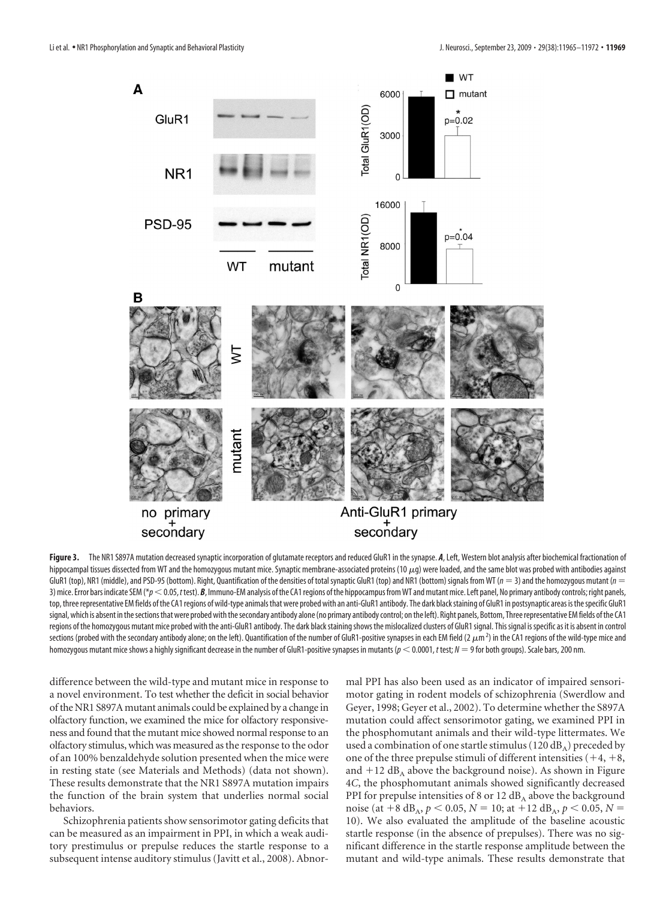

Figure 3. The NR1 S897A mutation decreased synaptic incorporation of glutamate receptors and reduced GluR1 in the synapse. *A*, Left, Western blot analysis after biochemical fractionation of hippocampal tissues dissected from WT and the homozygous mutant mice. Synaptic membrane-associated proteins (10 $\mu$ g) were loaded, and the same blot was probed with antibodies against GluR1 (top), NR1 (middle), and PSD-95 (bottom). Right, Quantification of the densities of total synaptic GluR1 (top) and NR1 (bottom) signals from WT ( $n = 3$ ) and the homozygous mutant ( $n = 1$ ). 3) mice. Error bars indicate SEM (\* $p < 0.05$ , *ttest*). *B*, Immuno-EM analysis of the CA1 regions of the hippocampus from WT and mutant mice. Left panel, No primary antibody controls; right panels, top, three representative EM fields of the CA1 regions of wild-type animals that were probed with an anti-GluR1 antibody. The dark black staining of GluR1 in postsynaptic areas is the specific GluR1 signal, which is absent in the sections that were probed with the secondary antibody alone (no primary antibody control; on the left). Right panels, Bottom, Three representative EM fields of the CA1 regions of the homozygous mutant mice probed with the anti-GluR1 antibody. The dark black staining shows the mislocalized clusters of GluR1 signal. This signal is specific as it is absent in control sections (probed with the secondary antibody alone; on the left). Quantification of the number of GluR1-positive synapses in each EM field (2  $\mu$ m<sup>2</sup>) in the CA1 regions of the wild-type mice and homozygous mutant mice shows a highly significant decrease in the number of GluR1-positive synapses in mutants ( $p < 0.0001$ , *t* test;  $N = 9$  for both groups). Scale bars, 200 nm.

difference between the wild-type and mutant mice in response to a novel environment. To test whether the deficit in social behavior of the NR1 S897A mutant animals could be explained by a change in olfactory function, we examined the mice for olfactory responsiveness and found that the mutant mice showed normal response to an olfactory stimulus, which was measured as the response to the odor of an 100% benzaldehyde solution presented when the mice were in resting state (see Materials and Methods) (data not shown). These results demonstrate that the NR1 S897A mutation impairs the function of the brain system that underlies normal social behaviors.

Schizophrenia patients show sensorimotor gating deficits that can be measured as an impairment in PPI, in which a weak auditory prestimulus or prepulse reduces the startle response to a subsequent intense auditory stimulus (Javitt et al., 2008). Abnormal PPI has also been used as an indicator of impaired sensorimotor gating in rodent models of schizophrenia (Swerdlow and Geyer, 1998; Geyer et al., 2002). To determine whether the S897A mutation could affect sensorimotor gating, we examined PPI in the phosphomutant animals and their wild-type littermates. We used a combination of one startle stimulus (120 dB<sub>A</sub>) preceded by one of the three prepulse stimuli of different intensities  $(+4, +8,$ and  $+12$  dB<sub>A</sub> above the background noise). As shown in Figure 4*C*, the phosphomutant animals showed significantly decreased PPI for prepulse intensities of 8 or 12  $dB_A$  above the background noise (at  $+8$  dB<sub>A</sub>,  $p < 0.05$ ,  $N = 10$ ; at  $+12$  dB<sub>A</sub>,  $p < 0.05$ ,  $N =$ 10). We also evaluated the amplitude of the baseline acoustic startle response (in the absence of prepulses). There was no significant difference in the startle response amplitude between the mutant and wild-type animals. These results demonstrate that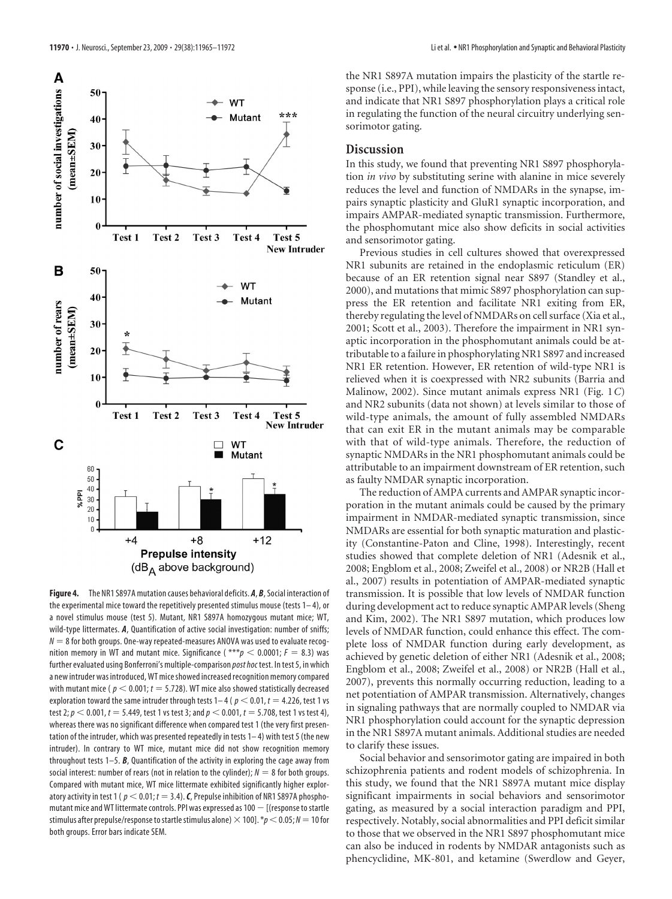

**Figure 4.** The NR1 S897A mutation causes behavioral deficits. *A*, *B*, Social interaction of the experimental mice toward the repetitively presented stimulus mouse (tests  $1-4$ ), or a novel stimulus mouse (test 5). Mutant, NR1 S897A homozygous mutant mice; WT, wild-type littermates. *A*, Quantification of active social investigation: number of sniffs;  $N = 8$  for both groups. One-way repeated-measures ANOVA was used to evaluate recognition memory in WT and mutant mice. Significance ( $***p$  < 0.0001;  $F = 8.3$ ) was further evaluated using Bonferroni's multiple-comparison *post hoc* test. In test 5, in which a new intruder was introduced, WT mice showed increased recognition memory compared with mutant mice ( $p < 0.001$ ;  $t = 5.728$ ). WT mice also showed statistically decreased exploration toward the same intruder through tests  $1-4$  ( $p < 0.01$ ,  $t = 4.226$ , test 1 vs test 2;  $p < 0.001$ ,  $t = 5.449$ , test 1 vs test 3; and  $p < 0.001$ ,  $t = 5.708$ , test 1 vs test 4), whereas there was no significant difference when compared test 1 (the very first presentation of the intruder, which was presented repeatedly in tests 1– 4) with test 5 (the new intruder). In contrary to WT mice, mutant mice did not show recognition memory throughout tests 1–5. *B*, Quantification of the activity in exploring the cage away from social interest: number of rears (not in relation to the cylinder);  $N = 8$  for both groups. Compared with mutant mice, WT mice littermate exhibited significantly higher exploratory activity in test 1 ( $p < 0.01$ ;  $t = 3.4$ ). *C*, Prepulse inhibition of NR1 S897A phosphomutant mice and WT littermate controls. PPI was expressed as  $100 -$  [(response to startle stimulus after prepulse/response to startle stimulus alone)  $\times$  100].  $*p < 0.05; N = 10$  for both groups. Error bars indicate SEM.

the NR1 S897A mutation impairs the plasticity of the startle response (i.e., PPI), while leaving the sensory responsiveness intact, and indicate that NR1 S897 phosphorylation plays a critical role in regulating the function of the neural circuitry underlying sensorimotor gating.

## **Discussion**

In this study, we found that preventing NR1 S897 phosphorylation *in vivo* by substituting serine with alanine in mice severely reduces the level and function of NMDARs in the synapse, impairs synaptic plasticity and GluR1 synaptic incorporation, and impairs AMPAR-mediated synaptic transmission. Furthermore, the phosphomutant mice also show deficits in social activities and sensorimotor gating.

Previous studies in cell cultures showed that overexpressed NR1 subunits are retained in the endoplasmic reticulum (ER) because of an ER retention signal near S897 (Standley et al., 2000), and mutations that mimic S897 phosphorylation can suppress the ER retention and facilitate NR1 exiting from ER, thereby regulating the level of NMDARs on cell surface (Xia et al., 2001; Scott et al., 2003). Therefore the impairment in NR1 synaptic incorporation in the phosphomutant animals could be attributable to a failure in phosphorylating NR1 S897 and increased NR1 ER retention. However, ER retention of wild-type NR1 is relieved when it is coexpressed with NR2 subunits (Barria and Malinow, 2002). Since mutant animals express NR1 (Fig. 1*C*) and NR2 subunits (data not shown) at levels similar to those of wild-type animals, the amount of fully assembled NMDARs that can exit ER in the mutant animals may be comparable with that of wild-type animals. Therefore, the reduction of synaptic NMDARs in the NR1 phosphomutant animals could be attributable to an impairment downstream of ER retention, such as faulty NMDAR synaptic incorporation.

The reduction of AMPA currents and AMPAR synaptic incorporation in the mutant animals could be caused by the primary impairment in NMDAR-mediated synaptic transmission, since NMDARs are essential for both synaptic maturation and plasticity (Constantine-Paton and Cline, 1998). Interestingly, recent studies showed that complete deletion of NR1 (Adesnik et al., 2008; Engblom et al., 2008; Zweifel et al., 2008) or NR2B (Hall et al., 2007) results in potentiation of AMPAR-mediated synaptic transmission. It is possible that low levels of NMDAR function during development act to reduce synaptic AMPAR levels (Sheng and Kim, 2002). The NR1 S897 mutation, which produces low levels of NMDAR function, could enhance this effect. The complete loss of NMDAR function during early development, as achieved by genetic deletion of either NR1 (Adesnik et al., 2008; Engblom et al., 2008; Zweifel et al., 2008) or NR2B (Hall et al., 2007), prevents this normally occurring reduction, leading to a net potentiation of AMPAR transmission. Alternatively, changes in signaling pathways that are normally coupled to NMDAR via NR1 phosphorylation could account for the synaptic depression in the NR1 S897A mutant animals. Additional studies are needed to clarify these issues.

Social behavior and sensorimotor gating are impaired in both schizophrenia patients and rodent models of schizophrenia. In this study, we found that the NR1 S897A mutant mice display significant impairments in social behaviors and sensorimotor gating, as measured by a social interaction paradigm and PPI, respectively. Notably, social abnormalities and PPI deficit similar to those that we observed in the NR1 S897 phosphomutant mice can also be induced in rodents by NMDAR antagonists such as phencyclidine, MK-801, and ketamine (Swerdlow and Geyer,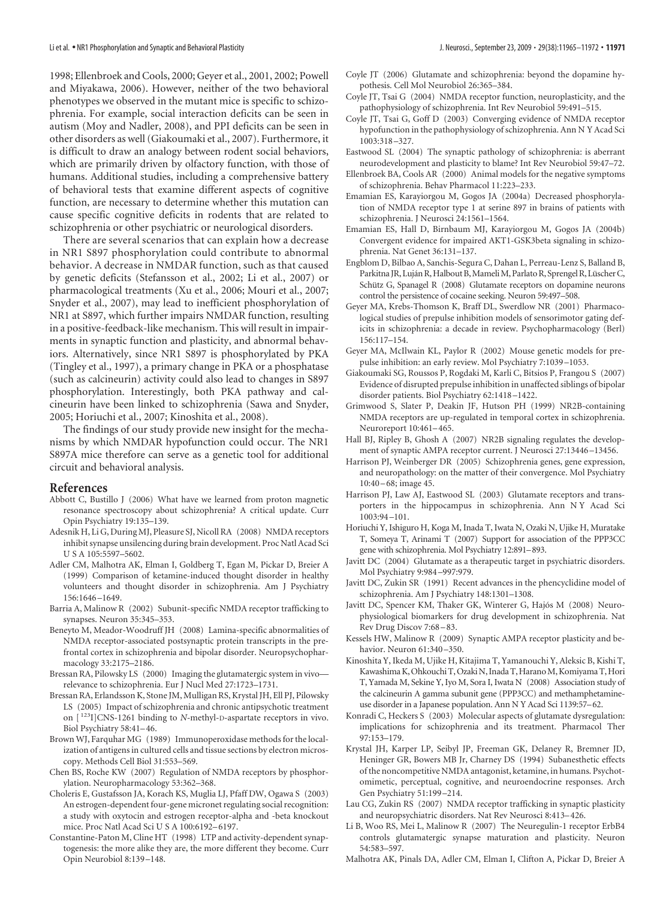1998; Ellenbroek and Cools, 2000; Geyer et al., 2001, 2002; Powell and Miyakawa, 2006). However, neither of the two behavioral phenotypes we observed in the mutant mice is specific to schizophrenia. For example, social interaction deficits can be seen in autism (Moy and Nadler, 2008), and PPI deficits can be seen in other disorders as well (Giakoumaki et al., 2007). Furthermore, it is difficult to draw an analogy between rodent social behaviors, which are primarily driven by olfactory function, with those of humans. Additional studies, including a comprehensive battery of behavioral tests that examine different aspects of cognitive function, are necessary to determine whether this mutation can cause specific cognitive deficits in rodents that are related to schizophrenia or other psychiatric or neurological disorders.

There are several scenarios that can explain how a decrease in NR1 S897 phosphorylation could contribute to abnormal behavior. A decrease in NMDAR function, such as that caused by genetic deficits (Stefansson et al., 2002; Li et al., 2007) or pharmacological treatments (Xu et al., 2006; Mouri et al., 2007; Snyder et al., 2007), may lead to inefficient phosphorylation of NR1 at S897, which further impairs NMDAR function, resulting in a positive-feedback-like mechanism. This will result in impairments in synaptic function and plasticity, and abnormal behaviors. Alternatively, since NR1 S897 is phosphorylated by PKA (Tingley et al., 1997), a primary change in PKA or a phosphatase (such as calcineurin) activity could also lead to changes in S897 phosphorylation. Interestingly, both PKA pathway and calcineurin have been linked to schizophrenia (Sawa and Snyder, 2005; Horiuchi et al., 2007; Kinoshita et al., 2008).

The findings of our study provide new insight for the mechanisms by which NMDAR hypofunction could occur. The NR1 S897A mice therefore can serve as a genetic tool for additional circuit and behavioral analysis.

#### **References**

- Abbott C, Bustillo J (2006) What have we learned from proton magnetic resonance spectroscopy about schizophrenia? A critical update. Curr Opin Psychiatry 19:135–139.
- Adesnik H, Li G, During MJ, Pleasure SJ, Nicoll RA (2008) NMDA receptors inhibit synapse unsilencing during brain development. Proc Natl Acad Sci U S A 105:5597–5602.
- Adler CM, Malhotra AK, Elman I, Goldberg T, Egan M, Pickar D, Breier A (1999) Comparison of ketamine-induced thought disorder in healthy volunteers and thought disorder in schizophrenia. Am J Psychiatry 156:1646 –1649.
- Barria A, Malinow R (2002) Subunit-specific NMDA receptor trafficking to synapses. Neuron 35:345–353.
- Beneyto M, Meador-Woodruff JH (2008) Lamina-specific abnormalities of NMDA receptor-associated postsynaptic protein transcripts in the prefrontal cortex in schizophrenia and bipolar disorder. Neuropsychopharmacology 33:2175–2186.
- Bressan RA, Pilowsky LS (2000) Imaging the glutamatergic system in vivo relevance to schizophrenia. Eur J Nucl Med 27:1723–1731.
- Bressan RA, Erlandsson K, Stone JM, Mulligan RS, Krystal JH, Ell PJ, Pilowsky LS (2005) Impact of schizophrenia and chronic antipsychotic treatment on [ 123I]CNS-1261 binding to *N-*methyl-D-aspartate receptors in vivo. Biol Psychiatry 58:41–46.
- Brown WJ, Farquhar MG (1989) Immunoperoxidase methods for the localization of antigens in cultured cells and tissue sections by electron microscopy. Methods Cell Biol 31:553–569.
- Chen BS, Roche KW (2007) Regulation of NMDA receptors by phosphorylation. Neuropharmacology 53:362–368.
- Choleris E, Gustafsson JA, Korach KS, Muglia LJ, Pfaff DW, Ogawa S (2003) An estrogen-dependent four-gene micronet regulating social recognition: a study with oxytocin and estrogen receptor-alpha and -beta knockout mice. Proc Natl Acad Sci U S A 100:6192–6197.
- Constantine-Paton M, Cline HT (1998) LTP and activity-dependent synaptogenesis: the more alike they are, the more different they become. Curr Opin Neurobiol 8:139 –148.
- Coyle JT (2006) Glutamate and schizophrenia: beyond the dopamine hypothesis. Cell Mol Neurobiol 26:365–384.
- Coyle JT, Tsai G (2004) NMDA receptor function, neuroplasticity, and the pathophysiology of schizophrenia. Int Rev Neurobiol 59:491–515.
- Coyle JT, Tsai G, Goff D (2003) Converging evidence of NMDA receptor hypofunction in the pathophysiology of schizophrenia. Ann N Y Acad Sci 1003:318 –327.
- Eastwood SL (2004) The synaptic pathology of schizophrenia: is aberrant neurodevelopment and plasticity to blame? Int Rev Neurobiol 59:47–72.
- Ellenbroek BA, Cools AR (2000) Animal models for the negative symptoms of schizophrenia. Behav Pharmacol 11:223–233.
- Emamian ES, Karayiorgou M, Gogos JA (2004a) Decreased phosphorylation of NMDA receptor type 1 at serine 897 in brains of patients with schizophrenia. J Neurosci 24:1561–1564.
- Emamian ES, Hall D, Birnbaum MJ, Karayiorgou M, Gogos JA (2004b) Convergent evidence for impaired AKT1-GSK3beta signaling in schizophrenia. Nat Genet 36:131–137.
- Engblom D, Bilbao A, Sanchis-Segura C, Dahan L, Perreau-Lenz S, Balland B, Parkitna JR, Luján R, Halbout B, Mameli M, Parlato R, Sprengel R, Lüscher C, Schütz G, Spanagel R (2008) Glutamate receptors on dopamine neurons control the persistence of cocaine seeking. Neuron 59:497–508.
- Geyer MA, Krebs-Thomson K, Braff DL, Swerdlow NR (2001) Pharmacological studies of prepulse inhibition models of sensorimotor gating deficits in schizophrenia: a decade in review. Psychopharmacology (Berl) 156:117–154.
- Geyer MA, McIlwain KL, Paylor R (2002) Mouse genetic models for prepulse inhibition: an early review. Mol Psychiatry 7:1039 –1053.
- Giakoumaki SG, Roussos P, Rogdaki M, Karli C, Bitsios P, Frangou S (2007) Evidence of disrupted prepulse inhibition in unaffected siblings of bipolar disorder patients. Biol Psychiatry 62:1418 –1422.
- Grimwood S, Slater P, Deakin JF, Hutson PH (1999) NR2B-containing NMDA receptors are up-regulated in temporal cortex in schizophrenia. Neuroreport 10:461–465.
- Hall BJ, Ripley B, Ghosh A (2007) NR2B signaling regulates the development of synaptic AMPA receptor current. J Neurosci 27:13446 –13456.
- Harrison PJ, Weinberger DR (2005) Schizophrenia genes, gene expression, and neuropathology: on the matter of their convergence. Mol Psychiatry 10:40 –68; image 45.
- Harrison PJ, Law AJ, Eastwood SL (2003) Glutamate receptors and transporters in the hippocampus in schizophrenia. Ann N Y Acad Sci 1003:94 –101.
- Horiuchi Y, Ishiguro H, Koga M, Inada T, Iwata N, Ozaki N, Ujike H, Muratake T, Someya T, Arinami T (2007) Support for association of the PPP3CC gene with schizophrenia. Mol Psychiatry 12:891–893.
- Javitt DC (2004) Glutamate as a therapeutic target in psychiatric disorders. Mol Psychiatry 9:984 –997:979.
- Javitt DC, Zukin SR (1991) Recent advances in the phencyclidine model of schizophrenia. Am J Psychiatry 148:1301–1308.
- Javitt DC, Spencer KM, Thaker GK, Winterer G, Hajós M (2008) Neurophysiological biomarkers for drug development in schizophrenia. Nat Rev Drug Discov 7:68 –83.
- Kessels HW, Malinow R (2009) Synaptic AMPA receptor plasticity and behavior. Neuron 61:340 –350.
- Kinoshita Y, Ikeda M, Ujike H, Kitajima T, Yamanouchi Y, Aleksic B, Kishi T, Kawashima K, Ohkouchi T, Ozaki N, Inada T, Harano M, Komiyama T, Hori T, Yamada M, Sekine Y, Iyo M, Sora I, Iwata N (2008) Association study of the calcineurin A gamma subunit gene (PPP3CC) and methamphetamineuse disorder in a Japanese population. Ann N Y Acad Sci 1139:57–62.
- Konradi C, Heckers S (2003) Molecular aspects of glutamate dysregulation: implications for schizophrenia and its treatment. Pharmacol Ther 97:153–179.
- Krystal JH, Karper LP, Seibyl JP, Freeman GK, Delaney R, Bremner JD, Heninger GR, Bowers MB Jr, Charney DS (1994) Subanesthetic effects of the noncompetitive NMDA antagonist, ketamine, in humans. Psychotomimetic, perceptual, cognitive, and neuroendocrine responses. Arch Gen Psychiatry 51:199 –214.
- Lau CG, Zukin RS (2007) NMDA receptor trafficking in synaptic plasticity and neuropsychiatric disorders. Nat Rev Neurosci 8:413–426.
- Li B, Woo RS, Mei L, Malinow R (2007) The Neuregulin-1 receptor ErbB4 controls glutamatergic synapse maturation and plasticity. Neuron 54:583–597.
- Malhotra AK, Pinals DA, Adler CM, Elman I, Clifton A, Pickar D, Breier A